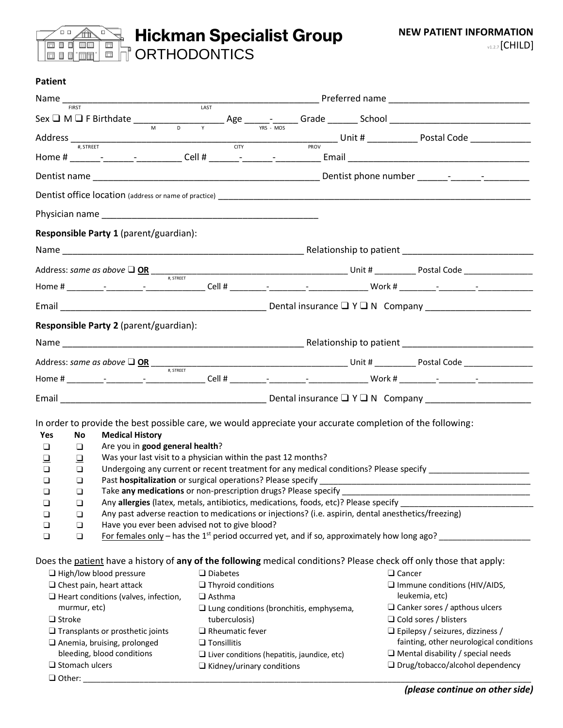

## **Hickman Specialist Group** ORTHODONTICS

## **Patient**

|                                                |                                                                                                                                                                                                                               | $Address \frac{1}{\#, STREET}$ $\frac{1}{\#, STREET}$ $\frac{1}{\#, STREET}$ $\frac{1}{\#, STREET}$ $\frac{1}{\#, STREET}$ $\frac{1}{\#, STREET}$ $\frac{1}{\#, STREET}$ $\frac{1}{\#, STREET}$ $\frac{1}{\#, STREET}$ $\frac{1}{\#, STREET}$ $\frac{1}{\#, STREET}$ $\frac{1}{\#, STREET}$ $\frac{1}{\#, STREET}$ $\frac{1}{\#, STREET}$ $\frac{1}{\#, ST$ |  |  |
|------------------------------------------------|-------------------------------------------------------------------------------------------------------------------------------------------------------------------------------------------------------------------------------|-------------------------------------------------------------------------------------------------------------------------------------------------------------------------------------------------------------------------------------------------------------------------------------------------------------------------------------------------------------|--|--|
|                                                |                                                                                                                                                                                                                               |                                                                                                                                                                                                                                                                                                                                                             |  |  |
|                                                |                                                                                                                                                                                                                               |                                                                                                                                                                                                                                                                                                                                                             |  |  |
|                                                |                                                                                                                                                                                                                               |                                                                                                                                                                                                                                                                                                                                                             |  |  |
|                                                |                                                                                                                                                                                                                               |                                                                                                                                                                                                                                                                                                                                                             |  |  |
| Responsible Party 1 (parent/guardian):         |                                                                                                                                                                                                                               |                                                                                                                                                                                                                                                                                                                                                             |  |  |
|                                                |                                                                                                                                                                                                                               |                                                                                                                                                                                                                                                                                                                                                             |  |  |
|                                                |                                                                                                                                                                                                                               |                                                                                                                                                                                                                                                                                                                                                             |  |  |
|                                                |                                                                                                                                                                                                                               |                                                                                                                                                                                                                                                                                                                                                             |  |  |
|                                                | Email $D$ and $D$ and $D$ and $D$ and $D$ and $D$ and $D$ and $D$ and $D$ and $D$ and $D$ and $D$ and $D$ and $D$ and $D$ and $D$ and $D$ and $D$ and $D$ and $D$ and $D$ and $D$ and $D$ and $D$ and $D$ and $D$ and $D$ and |                                                                                                                                                                                                                                                                                                                                                             |  |  |
| Responsible Party 2 (parent/guardian):         |                                                                                                                                                                                                                               |                                                                                                                                                                                                                                                                                                                                                             |  |  |
|                                                |                                                                                                                                                                                                                               |                                                                                                                                                                                                                                                                                                                                                             |  |  |
|                                                |                                                                                                                                                                                                                               |                                                                                                                                                                                                                                                                                                                                                             |  |  |
|                                                |                                                                                                                                                                                                                               |                                                                                                                                                                                                                                                                                                                                                             |  |  |
|                                                |                                                                                                                                                                                                                               |                                                                                                                                                                                                                                                                                                                                                             |  |  |
|                                                |                                                                                                                                                                                                                               |                                                                                                                                                                                                                                                                                                                                                             |  |  |
| <b>Medical History</b><br>Yes<br>No            | In order to provide the best possible care, we would appreciate your accurate completion of the following:                                                                                                                    |                                                                                                                                                                                                                                                                                                                                                             |  |  |
| Are you in good general health?<br>$\Box$<br>❏ |                                                                                                                                                                                                                               |                                                                                                                                                                                                                                                                                                                                                             |  |  |
|                                                | Was your last visit to a physician within the past 12 months?                                                                                                                                                                 |                                                                                                                                                                                                                                                                                                                                                             |  |  |
| $\Box$<br>$\Box$                               |                                                                                                                                                                                                                               | Undergoing any current or recent treatment for any medical conditions? Please specify                                                                                                                                                                                                                                                                       |  |  |
| $\Box$<br>$\Box$                               |                                                                                                                                                                                                                               |                                                                                                                                                                                                                                                                                                                                                             |  |  |
| $\Box$<br>$\Box$                               |                                                                                                                                                                                                                               |                                                                                                                                                                                                                                                                                                                                                             |  |  |
| $\Box$<br>$\Box$                               | Take any medications or non-prescription drugs? Please specify __                                                                                                                                                             |                                                                                                                                                                                                                                                                                                                                                             |  |  |
| $\Box$<br>❏                                    | Any allergies (latex, metals, antibiotics, medications, foods, etc)? Please specify                                                                                                                                           |                                                                                                                                                                                                                                                                                                                                                             |  |  |
| ❏<br>❏                                         | Any past adverse reaction to medications or injections? (i.e. aspirin, dental anesthetics/freezing)                                                                                                                           |                                                                                                                                                                                                                                                                                                                                                             |  |  |
| $\Box$<br>$\Box$                               | Have you ever been advised not to give blood?                                                                                                                                                                                 |                                                                                                                                                                                                                                                                                                                                                             |  |  |
| $\Box$<br>❏                                    | <u>For females only</u> – has the 1 <sup>st</sup> period occurred yet, and if so, approximately how long ago?                                                                                                                 |                                                                                                                                                                                                                                                                                                                                                             |  |  |
|                                                |                                                                                                                                                                                                                               |                                                                                                                                                                                                                                                                                                                                                             |  |  |
|                                                | Does the patient have a history of any of the following medical conditions? Please check off only those that apply:                                                                                                           |                                                                                                                                                                                                                                                                                                                                                             |  |  |
| $\Box$ High/low blood pressure                 | $\Box$ Diabetes                                                                                                                                                                                                               | $\Box$ Cancer                                                                                                                                                                                                                                                                                                                                               |  |  |
| $\Box$ Chest pain, heart attack                | $\Box$ Thyroid conditions                                                                                                                                                                                                     | Immune conditions (HIV/AIDS,                                                                                                                                                                                                                                                                                                                                |  |  |
| $\Box$ Heart conditions (valves, infection,    | $\Box$ Asthma                                                                                                                                                                                                                 | leukemia, etc)                                                                                                                                                                                                                                                                                                                                              |  |  |
| murmur, etc)                                   | $\Box$ Lung conditions (bronchitis, emphysema,                                                                                                                                                                                | $\Box$ Canker sores / apthous ulcers                                                                                                                                                                                                                                                                                                                        |  |  |
| $\Box$ Stroke                                  | tuberculosis)                                                                                                                                                                                                                 | $\Box$ Cold sores / blisters                                                                                                                                                                                                                                                                                                                                |  |  |
| $\Box$ Transplants or prosthetic joints        | $\Box$ Rheumatic fever                                                                                                                                                                                                        | $\Box$ Epilepsy / seizures, dizziness /                                                                                                                                                                                                                                                                                                                     |  |  |
| $\Box$ Anemia, bruising, prolonged             | $\Box$ Tonsillitis                                                                                                                                                                                                            | fainting, other neurological conditions                                                                                                                                                                                                                                                                                                                     |  |  |
| bleeding, blood conditions                     | $\Box$ Liver conditions (hepatitis, jaundice, etc)                                                                                                                                                                            | $\Box$ Mental disability / special needs                                                                                                                                                                                                                                                                                                                    |  |  |
| $\square$ Stomach ulcers                       | $\Box$ Kidney/urinary conditions                                                                                                                                                                                              | $\Box$ Drug/tobacco/alcohol dependency                                                                                                                                                                                                                                                                                                                      |  |  |
| $\Box$ Other:                                  |                                                                                                                                                                                                                               |                                                                                                                                                                                                                                                                                                                                                             |  |  |